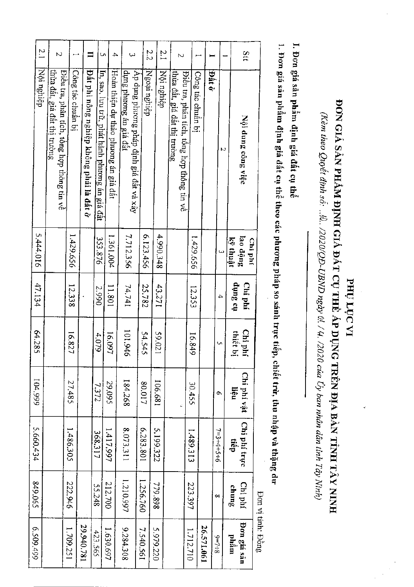|            | $\overline{2}.1$ | $\overline{\mathsf{C}}$                                                    |                   | 〓                                       |                                               | C<br>$\overline{a}$                  | w                      |                                         | 2.2          | $\frac{2.1}{2}$ | Ч                                                                          |           |                   |        |                     |           | Stt                 |                   |
|------------|------------------|----------------------------------------------------------------------------|-------------------|-----------------------------------------|-----------------------------------------------|--------------------------------------|------------------------|-----------------------------------------|--------------|-----------------|----------------------------------------------------------------------------|-----------|-------------------|--------|---------------------|-----------|---------------------|-------------------|
|            | Nội nghiệp       | thừa đất, giá đất thị trường<br>Điều tra, phân tích, tổng hợp thông tin về | Công tác chuẩn bị | Đất phi nông nghiệp không phải là đất ở | In, sao, luu trù, phát hành phương án giá đât | Hoàn thiện dự thảo phương án giá đất | dung phương án giá đất | Ap dụng phương pháp định giá đất và xây | Ngoại nghiệp | Nội nghiệp      | thừa đất, giá dất thị trường<br>Điều tra, phân tích, tông hợp thông tin về |           | Công tác chuẩn bị | ibất ở | N                   |           | Nội dung công việc  |                   |
|            | 5.444.016        |                                                                            | 1.429.656         |                                         | 353.876                                       | 1.361.004                            | 7.712.356              |                                         | 6.123.456    | 4.990.348       |                                                                            | 1.429.656 |                   |        | $\omega$            | ký thuật  | lao động<br>Chi phí |                   |
|            | 47.134           |                                                                            | 12.338            |                                         | 066.2                                         | 11.801                               | 74.741                 | 25.782                                  |              | 43.271          |                                                                            | 12.353    |                   |        | 4                   | tio Burip | Chi phí             |                   |
|            | 64.285           |                                                                            | 16.827            |                                         | 4.079                                         | 16.097                               | 101.946                | 54.545                                  |              | 120.021         |                                                                            | 16.849    |                   |        | Un                  | thiết b   | Chi phi             |                   |
| 104.999    |                  |                                                                            | 27.485            |                                         | 7.372                                         | 29.095                               | 184.268                | 20.017                                  |              | 106.681         |                                                                            | 30.455    |                   |        | ۰                   | liệu      | Chi phí vật         |                   |
| 5.660.434  |                  |                                                                            | 1.486.305         |                                         | 368.317                                       | 1.417.997                            | 8.073.311              | 6.283.801                               |              | 5.199.322       |                                                                            | 1.489.313 |                   |        | $7 = 3 + 4 + 5 + 6$ | tiếp      | Chi phí trực        |                   |
| \$49.065   |                  |                                                                            | 222.946           |                                         | S5.248                                        | 212.700                              | 1.210.997              | 1.256.760                               |              | 779.898         |                                                                            | 223.397   |                   |        | œ                   | chung     | Chi phí             |                   |
| 665.09.499 |                  |                                                                            | 1.709.251         | 29.940.781                              | 423.565                                       | 1.630.697                            | 9.284.308              | 7.540.561                               |              | 5.979.220       |                                                                            | 1.712.710 | 26.571.061        |        | $9 = 7 + 8$         | phâm      | <b>Bon giá sản</b>  | Don vi tinh: Đồng |

ĐƠN GIÁ SẢN PHẢM ĐỊNH GIÁ ĐÁT CỤ THỀ ÁP DỤNG TRÊN ĐỊA HÀN TỈNH TÂY NINH (Kêm theo Quyết định số: ..lŷ.. /2020/QĐ-UBND ngày 0! / 4. /2020 của Ủy ban nhân dân tinh Tây Ninh)

PHULLOVI

I. Đơn giá sản phẩm định giá đất cụ thể

1. Đơn giá sản phẩm định giá đất cụ thể theo các phương pháp so sánh trực tiếp, chiết trừ, thu nhập và thặng du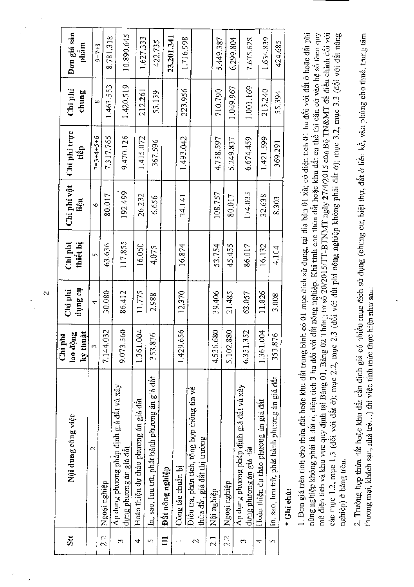|                | Nội dung công việc                                                         | иg<br>П<br>kỹ thuật<br>Chi phi<br>lao độ | dung cu<br>Chi phí | Chi phí<br>thiết bị | Chi phí vật<br>liệu | Chi phí trực<br>tiếp | Chi phí<br>chung | Đơn giá sản<br>phầm     |
|----------------|----------------------------------------------------------------------------|------------------------------------------|--------------------|---------------------|---------------------|----------------------|------------------|-------------------------|
|                | 2                                                                          | m                                        | 4                  | S                   | Ó                   | $7 = 3 + 4 + 5 + 6$  | $\infty$         |                         |
| 22             | Ngoại nghiệp                                                               | 032<br>7.144.0                           | 30.080             | 63.636              | 80.017              | 7.317.765            | 1.463.553        | $9 - 7 + 8$             |
| m              | Ap dụng phương pháp định giá đất và xây<br>dụng phương án giá đất          | 9.073.360                                | 86.412             | 117.855             | 192.499             | 9.470.126            | 1.420.519        | 10.890.645<br>8.781.318 |
| 4              | Hoàn thiện dự thảo phương án giá đật                                       | 1.361.004                                | 11.775             | 16.060              | 26.232              | 1.415.072            | 212.261          | 1.627.333               |
| 5              | In, sao, lưu trữ, phát hành phương án giá đật                              | 353.876                                  | 2.988              | 4.075               | 6.656               | 367.596              | 55.139           | 422.735                 |
| Ξ              | Đất nông nghiệp                                                            |                                          |                    |                     |                     |                      |                  | 23.201.341              |
|                | Công tác chuân bị                                                          | 1.429.656                                | 12.370             | 16.874              | 34.141              | 1.493.042            | 223.956          | 1.716.998               |
| $\sim$         | Điều tra, phân tích, tông hợp thông tin về<br>thừa đất, giá đất thị trường |                                          |                    |                     |                     |                      |                  |                         |
| $\overline{2}$ | Nội nghiệp                                                                 | 4.536.680                                | 39.406             | 53.754              | 108.757             | 4.738.597            | 710.790          | 5.449.387               |
| 22             | Ngoại nghiệp                                                               | 5.102.880                                | 21.485             | 45.455              | 80.017              | 5.249.837            | 1.049.967        | 6.299.804               |
| m              | Ap dụng phương pháp định giá đất và xây<br>dung phrong án giá đât          | 6.351.352                                | 63.057             | 86.017              | 174.033             | 6.674.459            | 1.001.169        | 7.675.628               |
| 4              | Hoàn thiện dự thảo phương án giá đất                                       | 1.361.004                                | 11.826             | 16,132              | 32.638              | 1.421.599            | 213.240          | 1.634.839               |
| S              | In, sao, luu trữ, phát hành phương án giá đật                              | 353.876                                  | 3.008              | 4.104               | 8.303               | 369.291              | 55.394           | 424.685                 |
|                | -<br>גו                                                                    |                                          |                    |                     |                     |                      |                  |                         |

\* Ghi chú:

1. Đơn giá trên tính cho thửa đất hoặc khu dất trung bình có 01 mục đích sử dụng, tại địa bàn 01 xã; có diện tích 01 ha đối với đất ở hoặc đất phi nông nghiệp không phải là đất ở, điện tích 3 ha đối với đất nông nghiệp. Khi tính cho thừa đất hoặc khu đất cụ thể thì căn cứ vào hệ số theo quy mô điện tích và khu vực quy định tại Bảng 01, Bảng 02 Thông tư số 20/2015/TT-BTNMT ngày 27/4/2015 của Bộ TN&MT để điều chỉnh đối với các mục 1.2, mục 1.3 (đối với đất ở); mục 2.2, mục 2.3 (đối với đất phi nông nghiệp không phải đất ở); mục 3.2, mục 3.3 (đối với đất nông nghiệp) ở bảng trên.

2. Trường hợp thửa đất hoặc khu đất cần định giá có nhiều mục đích sử dụng (chung cư, biệt thự, đất ở liền kề, văn phòng cho thuê, trung tâm thương mại, khách sạn, nhà trẻ...) thì việc tính mức thực hiện như sau:

 $\mathbf{\hat{z}}$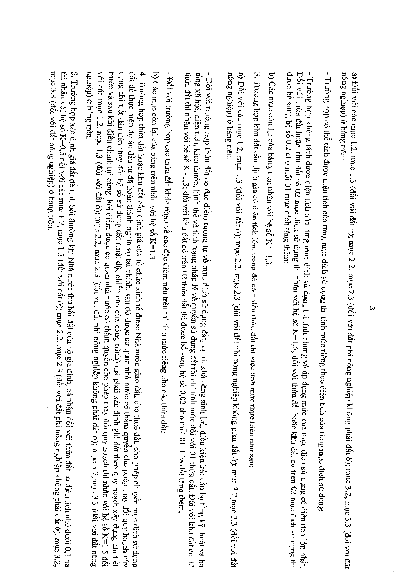a) Đối với các mục 1.2, mục 1.3 (đối với đất ở); mục 2.2, mục 2.3 (đối với đất phi nông nghiệp không phải đất ở); mục 3.2, mục 3.3 (đối với đất nông nghiệp) ở bảng trên:

Trường hợp có thể tách được diện tích của từng mục đích sử dụng thì tính mức riêng theo diện tích của từng mục đích sử dụng;

Đối với thừa đất hoặc khu đất có 02 mục đích sử dụng thì nhân với hệ số K=1,5; đối với thừa đất hoặc khu đất có trên 02 mục đích sử dụng thì - Trường hợp không tách được điện tích của từng mục đích sử dụng thì tính chung và áp dụng mức của mục đích sử dụng có diện tích lớn nhất. được bố sung hệ số 0,2 cho mỗi 01 mục đích tăng thêm;

b) Các mục còn lại của bảng trên nhân với hệ số $\mathrm{K}=1,3$ 

3. Trường hợp khu đất cần định giá có diện tích lớn, trong đó có nhiều thừa đất thì việc tính mức thực hiện như sau:

a) Đối với các mục 1.2, mục 1.3 (đối với đất ở); mục 2.2, mục 2.3 (đối với đất phi nông nghiệp không phải đất ở); mục 3.2,mục 3.3 (dối với đất nông nghiệp) ở bảng trên

- Đối với trường hợp thừa đất có đặc diềm tương tự về mục đích sử dụng đất, vị trí, khả năng sinh lợi, điều kiện kết cấu hạ tầng kỹ thuật và hạ<br>tầng xã hội, diện tích, kích thước, hình thể và tình trạng pháp lý về quyền s

. Đối với trường hợp các thừa đất khác nhạu về các đặc điểm nêu trên thì tính mức riêng cho các thừa đất,

b) Các mục còn lại của bảng trên nhân với hệ số K=1,3

đất đề thực hiện dự án đầu tư đã hoàn thành nghĩa vụ tài chính, sau đó dược cơ quan nhà nước có thầm quyền cho phép thay đôi quy hoạch xây nghiệp) ở bảng trên với các mục 1.2, mục 1.3 (đối với đất ở); mục 2.2, mục 2.3 (đối với đất phi nông nghiệp không phải đất ở); mục 3.2,mục 3.3 (đối với đất nông trước và sau khi điều chinh tại cùng thời điểm được cơ quan nhà nước có thầm quyền cho phép thay dồi quy hoạch thì nhân với hệ số K≕I,S đối dựng chi tiết dẫn đến thay đôi hệ số sử dụng đất (mật độ, chiều cao của công trình) mà phải xác định giá đất theo quy hoạch xây dựng chi tiệt 4. Trường hợp thừa đất hoặc khu đất cần định giá của tổ chức kinh tế được Nhà nước giao đất, cho thuê đất, cho phép chuyển mục đích sử dụng

mục 3.3 (đối với đất nông nghiệp) ở bảng trên. thì nhân với hệ số K≡0,5 đối với các mục 1.2, mục 1.3 (đối với đất ở); mục 2.2, mục 2.3 (đối với đất phi nông nghiệp không phải đất ở); mục 3.2, 5. Trường hợp xác định giá đất đề tính bồi thường khi Nhà nước thu hồi đất của hộ gia đình, cá nhân đối với thừa đất có diện tích nhỏ dưới 0,1 ha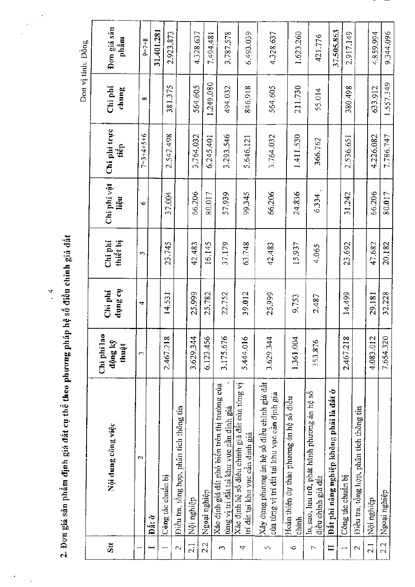2. Đon giá sản phẩm định giá đất cụ thể theo phương pháp hệ số điều chỉnh giá đất

 $\overline{a}$ 

 $\frac{1}{2}$ 

|                          |                                                                                             |                                 |                      |                     |                     |                      |                  | Đơn vị tính: Đồng   |
|--------------------------|---------------------------------------------------------------------------------------------|---------------------------------|----------------------|---------------------|---------------------|----------------------|------------------|---------------------|
| $\overline{\mathbf{5}}$  | Nội dung công việc                                                                          | Chi phi lao<br>động kỹ<br>thuật | the guitp<br>Chi phi | Chi phí<br>thiết bị | Chi phí vật<br>liệu | Chi phi truc<br>tiếp | Chi phí<br>chung | Đơn giá sản<br>phẩm |
| $\overline{\phantom{0}}$ | Z                                                                                           | $\sim$                          | 4                    | S                   | $\bullet$           | $7 - 3 + 4 + 5 + 6$  | œ                | $9 - 7 + 8$         |
|                          | Dất ở                                                                                       |                                 |                      |                     |                     |                      |                  | 31.401.281          |
|                          | Công tác chuân bị                                                                           | 2.467.218                       | 14,531               | 23.745              | 37.004              | 2.542.498            | 381.375          | 2.923.873           |
| $\mathbf{\sim}$          | Điều tra, tổng hợp, phân tích thông tin                                                     |                                 |                      |                     |                     |                      |                  |                     |
| 2.1                      | Nội nghiệp                                                                                  | 3.629.344                       | 25.999               | 42.483              | 66,206              | 3.764.032            | 564.605          | 4.328.637           |
| 2.2                      | Ngoại nghiệp                                                                                | 6.123.456                       | 25,782               | 16.145              | 80.017              | 6.245.401            | 1.249.080        | 7.494.481           |
| 3                        | Xác định giá đất phổ biến trên thị trường của<br>từng vị trí đất tại khu vực cần định giá   | 3.175.676                       | 22.752               | 37.179              | 57.939              | 3.293.546            | 494.032          | 3.787.578           |
| 4                        | Xác định hệ số điều chình giá đật của từng vị<br><u>trí đất tại khu v</u> ực cần định giá   | 5.444.016                       | 39.012               | 63.748              | 99.345              | 5,646.121            | 846.918          | 6.493.039           |
| 5                        | Xây dựng phương án hệ số điều chỉnh giá đất<br>của từng vị trí đất tại khu vực cần định giá | 3.629.344                       | 25.999               | 42.483              | 66.206              | 3.764.032            | 564.605          | 4.328.637           |
| Ó                        | Hoàn thiện dự thảo phương án hệ số điều<br>chinh                                            | 1,361,004                       | 9.753                | 15.937              | 24.836              | 1.411.530            | 211.730          | 1.623.260           |
| Γ                        | In, sao, luu trữ, phát hành phương án hệ sô<br>diều chinh giá đất                           | 353,876                         | 2.487                | 4.065               | 6.334               | 366.762              | 55.014           | 421.776             |
| $\mathbf{I}$             | Đất phi nông nghiệp không phải là đất ở                                                     |                                 |                      |                     |                     |                      |                  | 37.505.863          |
|                          | Công tác chuẩn bị                                                                           | 2.467.218                       | 14.499               | 23,692              | 31.242              | 2.536.651            | 380.498          | 2.917.149           |
| $\mathbf{\hat{c}}$       | Điều tra, tổng hợp, phân tích thông tin                                                     |                                 |                      |                     |                     |                      |                  |                     |
| $\overline{2.1}$         | Nội nghiệp                                                                                  | 4.083.012                       | 29.181               | 47.682              | 66.206              | 4,226.082            | 633,912          | 4.859.994           |
| 2.2                      | Ngoại nghiệp                                                                                | 7.654.320                       | 32.228               | 20.182              | 80.017              | 7.786.747            | 1.557.349        | 9.344.096           |

 $\frac{1}{4}$ 

 $\ddot{\phantom{0}}$  $\frac{1}{2} \frac{1}{2} \frac{1}{2} \frac{1}{2} \frac{1}{2} \frac{1}{2} \frac{1}{2} \frac{1}{2} \frac{1}{2} \frac{1}{2} \frac{1}{2} \frac{1}{2} \frac{1}{2} \frac{1}{2} \frac{1}{2} \frac{1}{2} \frac{1}{2} \frac{1}{2} \frac{1}{2} \frac{1}{2} \frac{1}{2} \frac{1}{2} \frac{1}{2} \frac{1}{2} \frac{1}{2} \frac{1}{2} \frac{1}{2} \frac{1}{2} \frac{1}{2} \frac{1}{2} \frac{1}{2} \frac{$ 

 $\ddot{\phantom{a}}$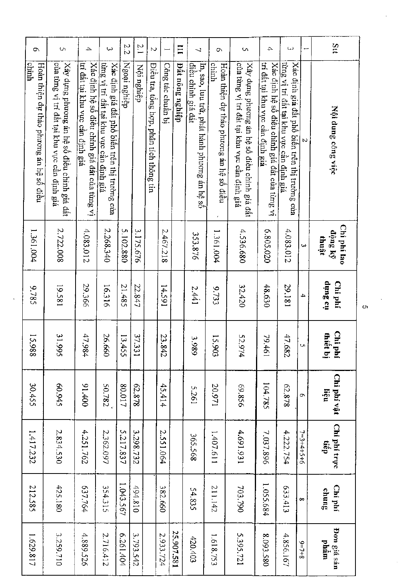| $\circ$                                          | $\sigma$                                                                                    | 4                                                                                 | $\omega$                                                                                  | 2.2          | 2.1                   | $\overline{\mathsf{C}}$                 | $\overline{\phantom{0}}$ | $\overline{\mathbf{H}}$ | ┙                                                                 | c                                                | CV.                                                                                         | 4                                                                                 | دیا                                                                                       |                          | Stt                             |
|--------------------------------------------------|---------------------------------------------------------------------------------------------|-----------------------------------------------------------------------------------|-------------------------------------------------------------------------------------------|--------------|-----------------------|-----------------------------------------|--------------------------|-------------------------|-------------------------------------------------------------------|--------------------------------------------------|---------------------------------------------------------------------------------------------|-----------------------------------------------------------------------------------|-------------------------------------------------------------------------------------------|--------------------------|---------------------------------|
| Hoàn thiện dự thảo phương án hệ số điều<br>chinh | của từng vị trí đất tại khu vực cần định giá<br>Xây dựng phương án hệ số điều chinh giá dất | Xác định hệ số điều chỉnh giá đất của từng vị<br>trí đất tại khu vực cần định giá | từng vị trí đất tại khu vực cần định giá<br>Xác định giá đất phổ biến trên thị trường của | Ngoại nghiệp | Nội nghiệp            | Điều tra, tông hợp, phân tích thông tin | Công tác chuân bị        | Đất nông nghiệp         | in, sao, luu trữ, phát hành phương án hệ số<br>điêu chinh giá dât | chinh<br>Hoàn thiện dự thảo phương án hệ số điều | của từng vị trí đất tại khu vực cần định giá<br>Xây dựng phương án hệ số điều chinh giá đất | trí đất tại khu vực cần định giá<br>Xác định hệ số điêu chỉnh giá đất của từng vị | từng vị trí đất tại khu vực cần định giá<br>Xác định giá đất phổ biến trên thị trường của |                          | Nội dung công việc              |
| 1.361.004                                        | 2.722.008                                                                                   | 4.083.012                                                                         | 2.268.340                                                                                 | 5.102.880    | 3.175.676             |                                         | 2.467.218                |                         | 353.876                                                           | 1.361.004                                        | 4.536.680                                                                                   | 6.805.020                                                                         | 4.083.012                                                                                 | ω                        | Chi phi lao<br>động lợ<br>thuật |
| 9.785                                            | 19.581                                                                                      | 29.366                                                                            | 16.316                                                                                    | 21.485       | 22.847                |                                         | 14.591                   |                         | 2.441                                                             | 9.733                                            | 32.420                                                                                      | 48.630                                                                            | 29.181                                                                                    | $\overline{\phantom{a}}$ | tio Suáp<br>Chi phí             |
| 15.9<br>88                                       | 31.9<br>95                                                                                  | 47.9<br>$^{24}$                                                                   | 26.660                                                                                    | 13.455       | 37.3.<br>$\mathbf{u}$ |                                         | 23.842                   |                         | 686°E                                                             | 15.9<br>Š                                        | 52.974                                                                                      | 79.461                                                                            | 47.682                                                                                    | S                        | Chi phí<br>thiết<br>Ξ.          |
| 30.455                                           | 576'09                                                                                      | 91.400                                                                            | 50.782                                                                                    | 80.017       | 62.878                |                                         | 45.414                   |                         | 5.261                                                             | 20.971                                           | 69.856                                                                                      | 104.785                                                                           | 62.878                                                                                    | ¢                        | Chi phí vật<br>něn              |
| 1.417.232                                        | 2.834.530                                                                                   | 4.251.762                                                                         | 2.362.097                                                                                 | 5.217.837    | 3.298.732             |                                         | 2.551.064                |                         | 365.568                                                           | 1.407.611                                        | 4.691.931                                                                                   | 7.037.896                                                                         | 4.222.754                                                                                 | $7 = 3 + 4 + 5 + 6$      | Chi phí trực<br>tiệp            |
| 212.585                                          | 425.180                                                                                     | 637.764                                                                           | 354.315                                                                                   | 1.043.567    | 494.810               |                                         | 382.660                  |                         | 54.835                                                            | 211.142                                          | 703.790                                                                                     | 1.055.684                                                                         | 633.413                                                                                   | $\infty$                 | Chi phí<br>Sunup                |
| 1.629.817                                        | 3.259.710                                                                                   | 4.889.526                                                                         | 2.716.412                                                                                 | 40761.404    | 3.793.542             |                                         | 2.933.724                | 25.907.581              | 420.403                                                           | 1.618.753                                        | 5.395.721                                                                                   | 8.093.580                                                                         | 4.856.167                                                                                 | $9 = 7 + 8$              | Don giá sản<br>phâm             |

Ch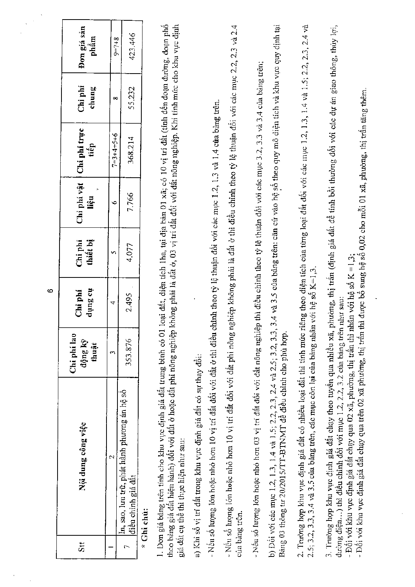|                  |                                                                                                                                                                                                                                                                      |                                 | Ø                   |                     |                     |                                                                                           |                  |                     |
|------------------|----------------------------------------------------------------------------------------------------------------------------------------------------------------------------------------------------------------------------------------------------------------------|---------------------------------|---------------------|---------------------|---------------------|-------------------------------------------------------------------------------------------|------------------|---------------------|
| $S$ <sub>1</sub> | Nội dung công việc                                                                                                                                                                                                                                                   | Chi phi lao<br>động kỹ<br>thuật | tio Sunp<br>Chi phí | Chi phi<br>thiết bị | Chi phí vật<br>liệu | Chi phi trực<br>tiếp                                                                      | Chi phí<br>chung | Đơn giá sản<br>phâm |
|                  |                                                                                                                                                                                                                                                                      | $\mathbf{r}$                    | ₹                   | $\sim$              | Ó                   | $7=3+4+5+6$                                                                               | œ                | $9 = 7 + 8$         |
| $\overline{ }$   | In, sao, luu trữ, phát hành phương án hệ số<br>điều chỉnh giá đât                                                                                                                                                                                                    | 353.876                         | 2.495               | 4.077               | 7.766               | 368.214                                                                                   | 55.232           | 423.446             |
|                  | * Ghi chú:                                                                                                                                                                                                                                                           |                                 |                     |                     |                     |                                                                                           |                  |                     |
|                  | 1. Đơn giá bảng trên tính cho khu vực định giá đất trung bình có 01 loại đất, diện tích liện tại đân có 10 vị trí đất (tính đến đoạn đường, đoạn phố<br>theo bảng giá đất hiện hành) đối với đất ở hoặc dất phi nông nghiệp<br>giá dât cụ thê thì thực hiện như sau: |                                 |                     |                     |                     | không phải là dất ở, 03 vị trí đất đối với đất nông nghiệp. Khi tính mức cho khu vục định |                  |                     |
|                  | - Nếu số lượng lớn hoặc nhỏ hơn 10 vị trí đất đối với đất ở thì điều chinh theo tỷ lệ thuận đối với các mục 1.2, 1.3 và 1.4 của bảng trên.<br>a) Khi số vị trí đất trong khu vực định giá đất có sự thay đổi:                                                        |                                 |                     |                     |                     |                                                                                           |                  |                     |
|                  | - Nếu số lượng lớn hoặc nhỏ hơn 10 vị trí đất đối với đất phi nông nghiệp không phải là đất ở thi điều chinh theo tỷ lệ thuận đối với các mục 2.2, 2.3 và 2.4<br>của bảng trên.                                                                                      |                                 |                     |                     |                     |                                                                                           |                  |                     |
|                  | - Nếu số lượng lớn hoặc nhỏ hơn 03 vị trí đất đối với đất nông nghiệ                                                                                                                                                                                                 |                                 |                     |                     |                     | p thì điều chỉnh theo tỷ lệ thuận đối với các mục 3.2, 3.3 và 3.4 của bàng trên;          |                  |                     |
|                  | b) Dôi với các mục 1.2, 1.3, 1.4 và 1.5; 2.2, 2.3, 2.4 và 2.5; 3.2, 3.3,<br>Bảng 03 thông tư 20/2015/TT-BTNMT đề điều chỉnh cho phù hợp.                                                                                                                             |                                 |                     |                     |                     | 3.4 và 3.5 của bảng trên: căn cứ vào hệ số theo quy mô diện tích và khu vực quy định tại  |                  |                     |
|                  | 2. Trường hợp khu vực định giá đất có nhiều loại đất thì tính mức riêng theo diện tích của từng loại đất đối với các mục 1.2, 1.3, 1.4 và 1.5; 2.2, 2.3, 2.4 và<br>2.5; 3.2, 3.3, 3.4 và 3.5 của bảng trên, các mục còn lại của bảng nhân với hệ số K=1,3.           |                                 |                     |                     |                     |                                                                                           |                  |                     |
|                  | dường điện) thì điều chỉnh đối với mục 1.2, 2.2, 3.2 của bảng trên như sau:<br>3. Trường hợp khu vực định giá đất chạy theo tuyên qua nhiều xã,                                                                                                                      |                                 |                     |                     |                     | phường, thị trấn (định giá đất để tính bồi thường đối với các dự án giao thông, thủy lợi, |                  |                     |

 $\hat{\boldsymbol{\beta}}$ 

 $\frac{1}{2}$ 

- Đối với khu vực định giá đất chạy qua 02 xã, phường, thị trấn thì nhân với hệ số K = 1,3;<br>- Đối với khu vực định giá đất chạy qua trên 02 xã phường, thị trấn thì được bổ sung hệ số 0,02 cho mỗi 01 xã, phường, thị trấn t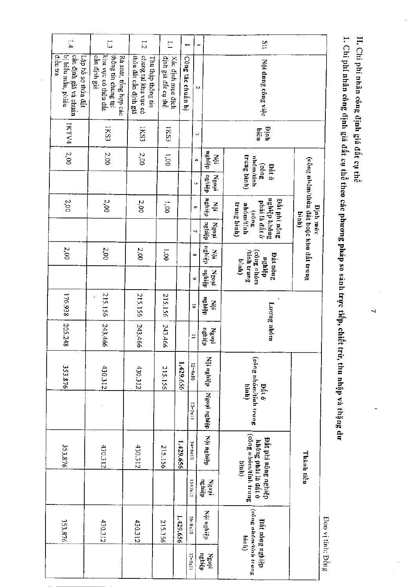|                                        | 211                                                                                |                  |                    |                   | Ξ                                        | $\frac{1}{\sqrt{2}}$                                                | $\vec{u}$                                                                           | $\overline{1}$                                                                |
|----------------------------------------|------------------------------------------------------------------------------------|------------------|--------------------|-------------------|------------------------------------------|---------------------------------------------------------------------|-------------------------------------------------------------------------------------|-------------------------------------------------------------------------------|
|                                        | Nội dung công việc                                                                 |                  | Μ                  | Công tác chuẩn bị | dịnh giá đất cụ thể<br>Xác định mục đích | thùa đất cần định giá<br>chung tại khu vực có<br>Thu thập thông tin | cần định giá<br>khu vực có thừa đất<br>thông tin chung tại<br>Rà soát, tổng hợp các | bị biểu mẫu, phiếu<br>cân định giá và chuẩn<br>diêu tra<br>Lập hồ sơ thừa đất |
|                                        | hinh<br>biĉn                                                                       |                  | سا                 |                   | <b>IKS3</b>                              | IKS3                                                                | <b>IKS3</b>                                                                         | IKTV4                                                                         |
|                                        | nhóm/tinh<br>(cōng                                                                 | nghiệp<br>žξ     | ₳                  |                   | 1,000                                    | 2,00                                                                | 2,00                                                                                | 2,00                                                                          |
| (công nhóm/thủa đất hoặc khu đất trung | trung binh)<br>Dåt ở                                                               | nghiệp<br>Ngoai  | Ç,                 |                   |                                          |                                                                     |                                                                                     |                                                                               |
| Dinh múc<br>(link)                     | nghiộp không<br>Đất phi nông<br>phải là đất ở<br>trung binh)<br>nhóm/tỉnh<br>(công | nghiệp<br>Χộι    | o,                 |                   | 5.001                                    | 2,00                                                                | 2,00                                                                                | 2,00                                                                          |
|                                        |                                                                                    | ugiilgn<br>Ngoại | 4                  |                   |                                          |                                                                     |                                                                                     |                                                                               |
|                                        | (công nhóm<br>/tinh trung<br>Buout<br>nghiệp<br>binh)                              | nghiệp<br>Χġ     | œ                  |                   | 1,000                                    | 2,00                                                                | 2,00                                                                                | 2,00                                                                          |
|                                        |                                                                                    | džināu<br>Ngoal  | G                  |                   |                                          |                                                                     |                                                                                     |                                                                               |
|                                        |                                                                                    | uşhişp<br>Š      | $\vec{0}$          |                   | 215.156                                  | 215.156                                                             | 215.156                                                                             | 176.938                                                                       |
|                                        | Luong nhóm                                                                         | nghiệp<br>Ngoai  | $\equiv$           |                   | 243.466                                  | 243,466                                                             | 243.466                                                                             | 205.248                                                                       |
|                                        |                                                                                    | Nội nghiệp       | $12 = 4 \times 10$ | 1,429.656         | 215.156                                  | 430.312                                                             | 430.312                                                                             | 353.876                                                                       |
|                                        | (eong nhóm/tinh trung<br>(daid<br>Đất ở                                            | Ngoai oghiệp     | 13-5x11            |                   |                                          |                                                                     |                                                                                     |                                                                               |
| Thành tiền                             | (công nhóm/tinh trung<br>Đất phi nông nghiệp<br>không phải là đất ở<br>(daid       | Nội nghiệp       | 14-6x10            | 1,429.656         | 215,156                                  | 430.312                                                             | 430.312                                                                             | 353.876                                                                       |
|                                        |                                                                                    | nghiêp<br>Ngoai  | $15 = 7x11$        |                   |                                          |                                                                     |                                                                                     |                                                                               |
| Don vị tính: Đông                      | (công ahóm/tinh trung<br>Dát nông nghiệp<br>(linid                                 | Nội nghiệp       | 16-8x10            | 1.429.656         | 215.156                                  | 430.312                                                             | 430.312                                                                             | 353.876                                                                       |
|                                        |                                                                                    | nghiệp<br>Ngoai  | $17 - 9x11$        |                   |                                          |                                                                     |                                                                                     |                                                                               |

II. Chi phí nhân công định giá đất cụ thể

1. Chi phí nhân công định giá đất cụ thể theo các phương pháp so sánh trực tiếp, chiết trừ, thu nhập và thặng dư

⊣

Pon vi tính: Pồnê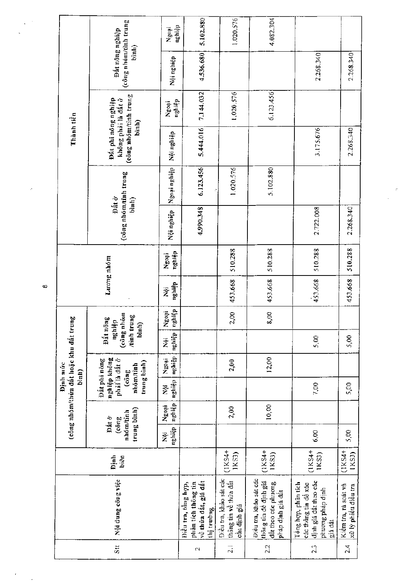|                    |                                                                                                     |                    |                                            |                 | Định múc                                                                           |                |                                                      |                 |             |                 |                                         |              |                                                                              |                 |                                                   |                 |
|--------------------|-----------------------------------------------------------------------------------------------------|--------------------|--------------------------------------------|-----------------|------------------------------------------------------------------------------------|----------------|------------------------------------------------------|-----------------|-------------|-----------------|-----------------------------------------|--------------|------------------------------------------------------------------------------|-----------------|---------------------------------------------------|-----------------|
|                    |                                                                                                     |                    |                                            |                 | (công nhóm/thửa đất hoặc khu đất trung<br>binh)                                    |                |                                                      |                 |             |                 |                                         |              | Thành tiền                                                                   |                 |                                                   |                 |
| Stt                | Nội dung công việc                                                                                  | Định<br>biðn       | trung binh)<br>nhóm/tính<br>Dất ở<br>(công |                 | aghiệp không<br>phải là dất ở<br>Dất phi nông<br>trung binh)<br>nhóm/tinh<br>ໂດຍູນ |                | teông nhóm<br>Đất nông<br>qşirişn<br>bình)<br>Ainh t | trung           | Luong nhóm  |                 | (công nhóm/tỉnh trung<br>Đất ở<br>bình) |              | (công nhóm/finh trung<br>Đất phi nông nghiệp<br>không phải là đất ở<br>bình) |                 | (công nhóm/tỉnh trung<br>Đất nông nghiệp<br>binh) |                 |
|                    |                                                                                                     |                    | រន្ធដៃខ្មែរ<br>ż                           | nghiệp<br>Ngoại | l dậnga<br>Ż                                                                       | dàngu<br>Ngoại | nghiệp<br>ž                                          | djitga<br>Ngoai | qâirgn<br>ż | nghiệp<br>Ngoại | Nội nghiệp                              | Ngoại nghiệp | Nội nghiệp                                                                   | qêingn<br>Ngoai | Nội nghiệp                                        | នៅព្រៃ<br>Ngoại |
| $\mathbf{\hat{c}}$ | về thủa đất, giá đất<br>Diều tra, tầng hợp,<br>phân tích thông tin<br>thi trường                    |                    |                                            |                 |                                                                                    |                |                                                      |                 |             |                 | 4.990.348                               | 6.123.456    | 5.444.016                                                                    | 7.144.032       | 4.536.680                                         | 5.102.880       |
| $\frac{1}{2}$      | Điều tra, khảo sát các<br>thông tin về thừa đất<br>cân định giá                                     | $(1KS4+)$<br>IKS3) |                                            | 2,00            |                                                                                    | 2,00           |                                                      | 2,00            | 453.668     | 510.288         |                                         | 1.020.576    |                                                                              | 1.020.576       |                                                   | 1.020.576       |
| 2.2                | Điều tra, khảo sát các<br>thông tin để định giá<br>dât theo các pluong<br>pháp định giá đất         | $(1KS4+)$<br>IKS3) |                                            | 10,00           |                                                                                    | 12,00          |                                                      | 8,00            | 453.668     | 510.288         |                                         | 5.102.880    |                                                                              | 6.123.456       |                                                   | 4.082.304       |
| $\frac{3}{2}$      | dịnh giá đất theo các<br>Tông hợp, phân tích<br>các thông tin đề xác<br>phương pháp định<br>giá đất | $(1KS4 +$<br>IKS3) | 6,00                                       |                 | 7,00                                                                               |                | 5,00                                                 |                 | 453.668     | 510.288         | 2.722.008                               |              | 3.175.676                                                                    |                 | 2.268.340                                         |                 |
| $\frac{4}{2}$      | Kiềm tra, rà soát và<br>xử lý phiếu điều tra                                                        | $(1KS4 +$<br>IKS3) | 5,00                                       |                 | 5,00                                                                               |                | 5,00                                                 |                 | 453.668     | 510.288         | 2.268.340                               |              | 2.268.340                                                                    |                 | 2.268.340                                         |                 |

 $\infty$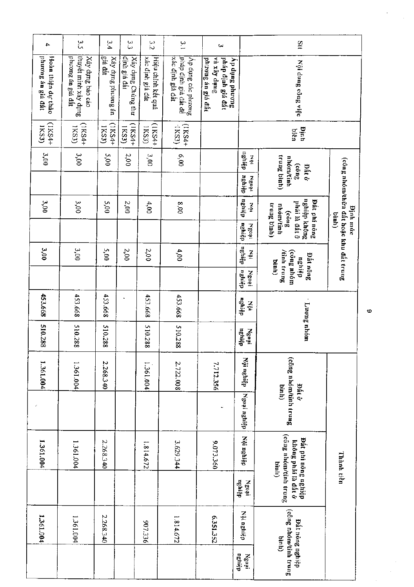| س<br>ما<br>3.4<br>دنا<br>دنا            |                                                               |                                |                                    |                                        |                                                                         |                                                                        |                               |                                                                                    |                                        |
|-----------------------------------------|---------------------------------------------------------------|--------------------------------|------------------------------------|----------------------------------------|-------------------------------------------------------------------------|------------------------------------------------------------------------|-------------------------------|------------------------------------------------------------------------------------|----------------------------------------|
| 4                                       |                                                               |                                |                                    | ς<br>Σ                                 | $\tilde{\Xi}$                                                           | ین                                                                     |                               | $\frac{1}{2}$                                                                      |                                        |
| phuong an giá đất<br>Hoàn thiện dự thảo | phương án giá đất<br>thuyết minh xây dựng<br>Xây dụng báo cáo | [giá đắt<br>Xây dụng phương án | dinh giá dái<br>Xây dụng Chúng thư | xác định giá đất<br>Hiệu chinh kết quả | xác định giá đất<br>Ap dụng các phương<br>pháp định giả đ <b>ất đ</b> ề | phuong án giá đất<br>và xây dụng<br>pháp định giá đất<br>Monyd Sunp dy |                               | Nội dung công việc                                                                 |                                        |
| $+63X1)$<br><b>IKS3J</b>                | $(1KS4+$<br>IKS3)                                             | ++SX1)<br><b>IKS3</b>          | $(1KSA+$<br>KSS                    | $(1KS4+$<br>IKS3)                      | (RSM)<br>$(1KS4 +$                                                      |                                                                        |                               | Pinh<br>hiên                                                                       |                                        |
| $00^{\circ}$                            | 3,000                                                         | 5,000                          | 2,00                               | 3,00                                   | $6,00$                                                                  |                                                                        | nghiệp<br>Νội                 | trung binh)<br>nhóm/tỉnh<br>Đất ở<br>$(\alpha)$ ng                                 |                                        |
|                                         |                                                               |                                |                                    |                                        |                                                                         |                                                                        | nghiệp<br>Ngoai               |                                                                                    | (công nhóm/thữa đất hoặc khu đất trung |
| 3,00                                    | 3,000                                                         | 5,00                           | 2,00                               | 4,00                                   | 8,00                                                                    |                                                                        | nghiệp<br>$\frac{2}{2}$       | nghiệp không<br>Đất phi nông<br>phải là đất ở<br>trung binh)<br>nhóm/tình<br>(cong | <b>Pinh muc</b><br>(quiq               |
|                                         |                                                               |                                |                                    |                                        |                                                                         |                                                                        | nghiệp<br><b>Ngoal</b>        |                                                                                    |                                        |
| 3.00                                    | 3,000                                                         | 5,00                           | 2,00                               | 2,00                                   | 4,00                                                                    |                                                                        | ushiệp<br>$\ddot{\mathbf{S}}$ | /tinh trung<br>urouu filoso<br>Đất nông<br>nghiệp<br>(Hnh)                         |                                        |
|                                         |                                                               |                                |                                    |                                        |                                                                         |                                                                        | nghiệp<br>Ngoại               |                                                                                    |                                        |
| 453.668                                 | 453.668                                                       | 453.668                        |                                    | 453.668                                | 453.668                                                                 |                                                                        | nghiệp<br>$\frac{1}{2}$       |                                                                                    |                                        |
| 510.288                                 | 510.288                                                       | 510.288                        |                                    | 510.288                                | 510.288                                                                 |                                                                        | uşhiệp<br>Ngoại               | Luong nhóm                                                                         |                                        |
| 1.361.004                               | 1.361.004                                                     | 2,268,340                      |                                    | 1.361.004                              | 2.722.008                                                               | 7.712.356                                                              | Nội nghiệp                    |                                                                                    |                                        |
|                                         |                                                               |                                |                                    |                                        |                                                                         | ä,                                                                     | Ngoại nghiệp                  | (công nhóm/tính trung<br>(quiq<br>Đất ở                                            |                                        |
| 1.361.004                               | 1.361.004                                                     | 2.268.340                      |                                    | 1.814.672                              | 3.629.344                                                               | 9,073.360                                                              | Nội nghiệp                    | (công nhóm/tinh trung<br>Đắt phi nông nghiệp<br>không phải là đất ở<br>(Inid       | Thành tiền                             |
|                                         |                                                               |                                |                                    |                                        |                                                                         |                                                                        | nghiệp<br>Ngoai               |                                                                                    |                                        |
| 1.361.004                               | 1.361.004                                                     | 2.268.340                      |                                    | 907.336                                | 1.814.672                                                               | 6.351.352                                                              | Nột nghiệp                    | (công nhóm/tinh trung<br>Đất nông nghiệp<br>(Hnid                                  |                                        |
|                                         |                                                               |                                |                                    |                                        |                                                                         |                                                                        | nghiáp<br>Ngoai               |                                                                                    |                                        |

 $\pmb{\circ}$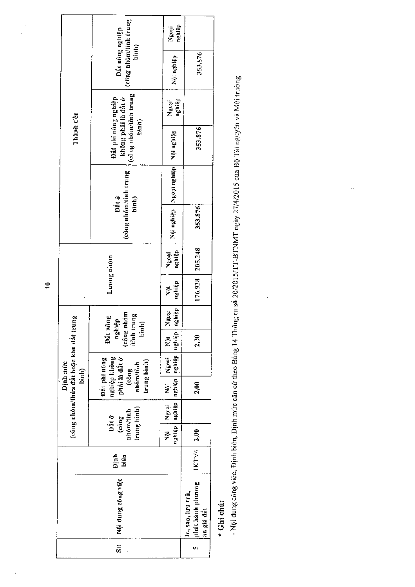|                                                                                                                                                                                                                | công nhóm/tỉnh trung<br>Đất nông nghiệp<br>binh)                    | nghiệp<br>Ngoai                    |                                                     |  |
|----------------------------------------------------------------------------------------------------------------------------------------------------------------------------------------------------------------|---------------------------------------------------------------------|------------------------------------|-----------------------------------------------------|--|
|                                                                                                                                                                                                                |                                                                     | Nội nghiệp                         | 353,876                                             |  |
|                                                                                                                                                                                                                | binh)                                                               | Ngoại<br>nghiệp                    |                                                     |  |
| Thành tiền                                                                                                                                                                                                     | (công nhóm/tỉnh trung<br>Đất phi nông nghiệp<br>không phải là đất ở |                                    | 353,876                                             |  |
|                                                                                                                                                                                                                | (công nhóm/tỉnh trung<br>Đất ở<br>binh)                             | Nội nghiệp Ngoại nghiệp Nội nghiệp |                                                     |  |
|                                                                                                                                                                                                                |                                                                     |                                    | 353.876                                             |  |
|                                                                                                                                                                                                                | Luong nhóm                                                          | Ngoại<br>nghiệp                    | 205.248                                             |  |
|                                                                                                                                                                                                                |                                                                     | nghiệp<br>ë.<br>Z                  | 176.938                                             |  |
|                                                                                                                                                                                                                | (công nhóm<br>/tinh trung<br>Đất nông<br>nghiệp                     | nghiệp<br>Ngoại                    |                                                     |  |
|                                                                                                                                                                                                                | binh                                                                | nghiệp<br>Ż                        | 2,00                                                |  |
| (công nhóm/thủa đất hoặc khu đất trung<br><b>aghiệp</b><br>Ngoại<br>nghiệp không<br>phải là đất ở<br>Dát phi nông<br>trung binh)<br><b>Dinh</b> muc<br>nhóm/tinh<br>(công<br>bình)<br>2,00<br>io<br>Ž<br>Ngoai |                                                                     |                                    |                                                     |  |
|                                                                                                                                                                                                                |                                                                     |                                    |                                                     |  |
| dậntāu   dệntău   dậnga                                                                                                                                                                                        |                                                                     |                                    |                                                     |  |
| trung binh)<br>nhóm/tính<br>Đất ở<br>(công<br>$1KTV4$ 2,00<br>ë.                                                                                                                                               |                                                                     |                                    |                                                     |  |
|                                                                                                                                                                                                                | Định<br>biên                                                        |                                    |                                                     |  |
|                                                                                                                                                                                                                | Nội dung công việc                                                  |                                    | phát hành phương<br>In, sao, luu trū,<br>án giá đất |  |
|                                                                                                                                                                                                                | $\tilde{\mathbf{s}}$ tt                                             |                                    | V)                                                  |  |

\* Ghi chú:

- Nội dung công việc, Định biên, Định mức căn cứ theo Bảng 14 Thông tư số 20/2015/TT-BTNMT ngày 27/4/2015 của Bộ Tài nguyên và Môi trường

 $\overline{a}$ 

 $\ddot{\mathbf{e}}$ 

J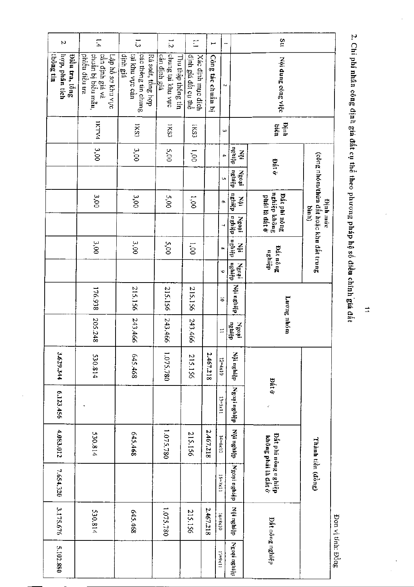| $\mathfrak{p}$ .<br>ίJ,<br>$\frac{1}{2}$<br>E<br>عسو<br>chuẩn bị biểu mẫu,<br>các thông tin chung<br>cân định giá và<br>tại khu vực cần<br>Điều tra, tống<br>phiều điều tra<br>dinh giá<br>cần định giá<br>chung tại khu vực<br>Ra soát, tông hợp<br>dịnh giá dất cụ thể<br>Lập hồ sơ khu vực<br>Xác định mục đích<br>Công tác chuẩn bị<br>Thu thập thông tin<br>Μ |         |         |             |         |           |                    |                                                  | $\frac{3}{10}$<br>Nội dung công việc          |                                        |
|--------------------------------------------------------------------------------------------------------------------------------------------------------------------------------------------------------------------------------------------------------------------------------------------------------------------------------------------------------------------|---------|---------|-------------|---------|-----------|--------------------|--------------------------------------------------|-----------------------------------------------|----------------------------------------|
|                                                                                                                                                                                                                                                                                                                                                                    | IKTV4   | IKS3    | IKS3        | ESS1    |           | ئىا                |                                                  | hinh<br>biên                                  |                                        |
|                                                                                                                                                                                                                                                                                                                                                                    | 3,00    | 3,000   | <b>5,00</b> | 00'1    |           | 4                  | បង្ការថ្ងៃប<br>즣                                 | <b>Dất ở</b>                                  |                                        |
|                                                                                                                                                                                                                                                                                                                                                                    |         |         |             |         |           |                    | ushiçp<br>Ngoại                                  |                                               |                                        |
|                                                                                                                                                                                                                                                                                                                                                                    | 3,00    | 3,000   | 5,000       | 1,000   |           | Ģ,                 | nghiệp<br>$\mathbf{N}^{\mathbf{0}}_{\mathbf{0}}$ | nghiệp không<br>Đất phi nông<br>phâi là đất ở | Định múc<br>(Hnid                      |
|                                                                                                                                                                                                                                                                                                                                                                    |         |         |             |         |           | ч                  | nghiệp<br>Ngoại                                  |                                               |                                        |
|                                                                                                                                                                                                                                                                                                                                                                    | 3,00    | 3,000   | 5,00        | 1,00    |           | $\infty$           | nghiệp<br>즣                                      | Đất nông<br>ughiộp                            | (công nhóm/thừa đất hoặc khu đất trung |
|                                                                                                                                                                                                                                                                                                                                                                    |         |         |             |         |           | $\ddot{\bullet}$   | ughiệp<br>Ngoai                                  |                                               |                                        |
|                                                                                                                                                                                                                                                                                                                                                                    | 176.938 | 215.156 | 215.156     | 215,156 |           | $\overline{5}$     | Nội nghiệp                                       | Luong nhóm                                    |                                        |
|                                                                                                                                                                                                                                                                                                                                                                    | 205.248 | 243,466 | 243.466     | 243.466 |           | $\equiv$           | nghiệp<br>Ngoai                                  |                                               |                                        |
| 3.629.344                                                                                                                                                                                                                                                                                                                                                          | 530.814 | 645.468 | 1.075.780   | 215.156 | 2.467.218 | $12 = 4 \times 10$ | Nội nghiệp                                       |                                               |                                        |
| 6.123.456                                                                                                                                                                                                                                                                                                                                                          |         |         |             |         |           | $1x = 2x11$        | Ngoại nghiệp                                     | Đất ở                                         |                                        |
| 4.083.012                                                                                                                                                                                                                                                                                                                                                          | 530.814 | 645,468 | 1.075.780   | 215.156 | 2.467.218 | $14 = 6 \times 10$ | Nội nghiệp                                       |                                               |                                        |
| 7.654.320                                                                                                                                                                                                                                                                                                                                                          |         |         |             |         |           | $12 = 7x11$        | Ngoại nghiệp                                     | Đất phi nông nghiệp<br>không phải là đất ở    | Thành tiền (đồng)                      |
| 3.175.676                                                                                                                                                                                                                                                                                                                                                          | 530.814 | 645.468 | 1.075.780   | 215.156 | 2,467,218 | $16 = 8 \times 10$ | Nội nghiệp                                       | Đất nông nghiệp                               |                                        |
| 5.102.880                                                                                                                                                                                                                                                                                                                                                          |         |         |             |         |           | $11×6=211$         | Ngoại nghiệp                                     |                                               | Don vị tính: Đông                      |

2. Chi phí nhân công định giá đất cụ thể theo phương pháp hệ số điều chỉnh giá đất

 $\Rightarrow$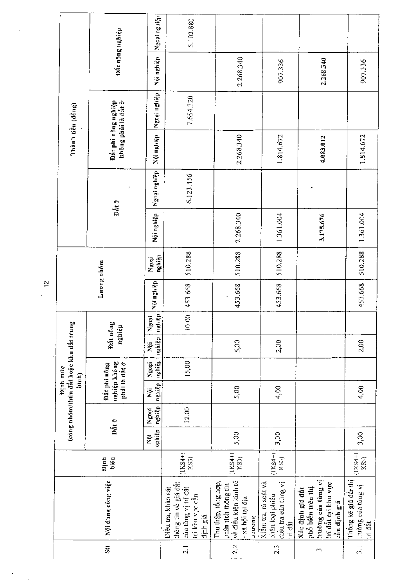|               |                                                                                                    |                    |             |                          | Định múc<br>bình)                                            | (công nhóm/thủa đất hoặc khu đất trung |                    |                |            |                  |            |              |                     | Thành tiền (đồng)   |                 |              |
|---------------|----------------------------------------------------------------------------------------------------|--------------------|-------------|--------------------------|--------------------------------------------------------------|----------------------------------------|--------------------|----------------|------------|------------------|------------|--------------|---------------------|---------------------|-----------------|--------------|
|               | Nội dung công việc                                                                                 | Dinh<br>biên       |             | Đất ở                    | nghiệp không<br>  phải là đất ở <sub> </sub><br>Đất phi nông |                                        | Đất nông<br>nghiệp |                |            | Luong nhóm       |            | Dát ở        | Đất phi nông nghiệp | không phải là đất ở | Đất nông nghiệp |              |
|               |                                                                                                    |                    | oghiệp<br>Ë | $\lceil$ nghiệp<br>Ngoại | nghiệp<br>Ϋö                                                 | $ $ nghiệp<br>Ngoại                    | nghiệp<br>ä.       | dàiga<br>Ngoại | Nội nghiệp | nghiệp<br>litosk | Nội nghiệp | Ngoại nghiệp | Nội nghiệp          | Ngoai nghiệp        | Nội nghiệp      | Ngoại nghiệp |
| $\frac{1}{2}$ | thông tin về giá đất<br>của từng vị trí đất<br>Điều tra, khảo sát<br>tại khu vực cần<br>dinh giá   | $(1KSA+1)$<br>KS3) |             | 12,00                    |                                                              | 15,00                                  |                    | 10,00          | 453.668    | 510.288          |            | 6.123.456    |                     | 7.654.320           |                 | 5.102.880    |
| 2.2           | về điều kiện kinh tế<br>Thu thập, tổng hợp,<br>phân tích thông tin<br>- xã hội tại địa<br>phrong   | $(1K54+1)$<br>KS3) | 5,00        |                          | 5,00                                                         |                                        | 5,00               |                | 453.668    | 510.288          | 2.268.340  |              | 2.268.340           |                     | 2.268.340       |              |
| 2.3           | Kiềm tra, rà soát và<br>diều tra của từng vị<br>phân loại phiều<br>tri đất                         | $(1KS4+1)$<br>KS3) | 3,00        |                          | 4,00                                                         |                                        | 2,00               |                | 453.668    | 510.288          | 1.361.004  |              | 1.814.672           |                     | 907.336         |              |
| E             | truong của từng vị<br>trí đất tại khu vực<br>phổ biển trên thị<br>Xác định giá đất<br>cần định giá |                    |             |                          |                                                              |                                        |                    |                |            |                  | 3.175.676  |              | 4.083.012           |                     | 2.268.340       |              |
| 3.1           | Thống kê giá đất thị<br>trường của từng vị<br>trí đất                                              | $(1KSA+1)$<br>KS3) | 3,00        |                          | 4,00                                                         |                                        | 2,00               |                | 453.668    | 510.288          | 1.361.004  |              | 1.814.672           |                     | 907.336         |              |

 $\tilde{c}$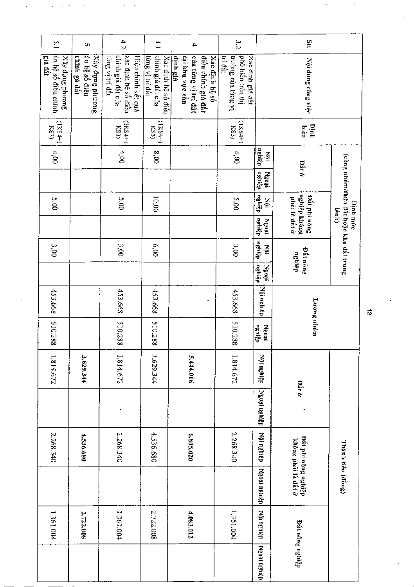|               |                                                                                   |                    |                        | (công 1116m/thữa đất hoặc khu đất trung | <b>Dinh</b> múc<br>(yun)                      |                 |                    |                        |            |                        |            |              | Thành tiền (đồng)                          |              |                 |              |
|---------------|-----------------------------------------------------------------------------------|--------------------|------------------------|-----------------------------------------|-----------------------------------------------|-----------------|--------------------|------------------------|------------|------------------------|------------|--------------|--------------------------------------------|--------------|-----------------|--------------|
| Stt           | Nội dung công việc                                                                | tują<br>hiên       | <b>Dât ö</b>           |                                         | nghiêp không<br>Đất phi nông<br>phải là đất ô |                 | Đất nông<br>ughiêp |                        | Luong nhóm |                        | Đắt ở      |              | Đất phi nông nghiệp<br>không phải là đất ở |              | Đất nông nghiệp |              |
|               |                                                                                   |                    | nghiộn<br>$\mathbf{S}$ | nghiệp<br>Ngoal                         | uşhişin<br>Σģ                                 | nghiập<br>Ngoal | dingha<br>Š        | nghiệp<br><b>Ngoai</b> | Nội nghiệp | aguiĝo<br><b>1603N</b> | Nội nghiệp | Ngoại nghiệp | Nội nghiệp                                 | Ngoại nghiệp | Nội nghiệp      | Ngoai nghiệi |
| 3.2           | trường của từng vị<br>'trí đất<br>phổ biến trên thị<br>Xác định giả đất           | $(1KS4+1)$<br>KSS  | 4,00                   |                                         | 5,00                                          |                 | 3,000              |                        | 453.668    | 510.288                | 1.814.672  |              | 2.268.340                                  |              | 1.361.004       |              |
| 4             | của tùng vị trí đất<br>điều chính giá đất<br>Xác định hệ số                       |                    |                        |                                         |                                               |                 |                    |                        |            |                        | 5.444.016  |              |                                            |              |                 |              |
|               | định giá<br>tại khu vực cần                                                       |                    |                        |                                         |                                               |                 |                    |                        |            |                        |            |              | 6.805.020                                  |              | 4.083.012       |              |
| 4.1           | chinh giá dất của<br>tùng vị trí đất<br>Xác định hệ số điều                       | $(1KS4+1)$<br>KS3) | 8,00                   |                                         | 10,00                                         |                 | 6,00               |                        | 453.668    | 510.288                | 3,629.344  |              | 4.536.680                                  |              | 2.722.008       |              |
| 4.2           | chinh giá dát của<br>từng vị trí đất<br>xác định hệ số điều<br>Hiệu chỉnh kết quả | $(1KS4+1)$<br>KST  | 4,00                   |                                         | 5,00                                          |                 | 3,00               |                        | 453.668    | 882015                 | 1.814.672  |              | 2.268.340                                  |              | 1.361.004       |              |
| U)            | án hệ số điều<br>chinh gá đất<br>Xây dụng phương                                  |                    |                        |                                         |                                               |                 |                    |                        |            |                        | 3.629.344  |              | 4.536.680                                  |              | 2.722.008       |              |
| $\frac{1}{2}$ | án hệ số điều chỉnh<br>giá đất<br>Nay dung phrong                                 | $1+5511$<br>KS3)   | 4,00                   |                                         | 5,00                                          |                 | 3,00               |                        | 453.668    | 510.288                | 1.814.672  |              | 2.268.340                                  |              | 1.361.004       |              |

 $\vec{\omega}$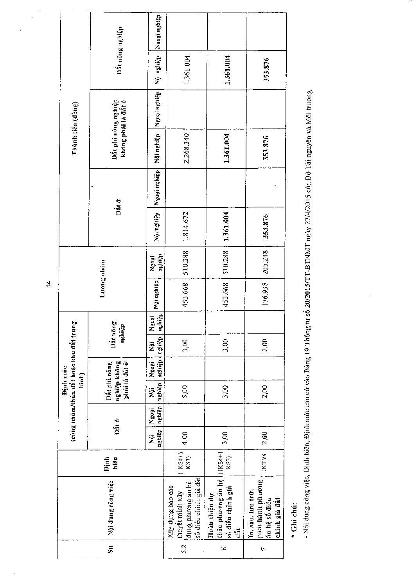| Đất nông nghiệp<br>Nội nghiệp<br>1.361.004<br>1.361.004<br>353,876<br>Ngoại nghiệp<br>Đất phi nông nghiệp<br>không phải là đất ở<br>Thành tiền (đồng)<br>Nội nghiệp<br>2.268.340<br>1.361.004<br>353.876<br>Ngoại nghiệp<br>Đất ở<br>Nội nghiệp<br>1.814.672<br>1.361.004<br>353.876<br>510.288<br>510,288<br>205.248<br>Ngoại<br>nghiệp<br>Luong nhóm<br>Nội nghiệp<br>453.668<br>453.668<br>176.938<br>nghiệp<br>Ngoại<br>Đất nông<br>쁱<br>កន្ទាំមើត<br>(công nhóm/thửa đất hoặc khu đất tru<br>ងៀមនៅ<br>3,00<br>3,00<br>2,00<br>ĝ.<br>nghiệp (<br>nghiệp không<br>phải là đất ở<br>Đất phi nông<br>Ngoại<br>bình)<br>  uğuqau<br>3,00<br>2,00<br>5,00<br>ë.<br>nghiệp<br>Ngoại<br>Đất ở<br>qaniqa<br>4,00<br>3,00<br>2,00<br>ž<br>IKTV4<br>thủo phương án hệ $(1KSA+1)$ số điều chỉnh giá<br>$(1KS4+1)$<br>KS3)<br>Định<br>biên<br>số điều chính giá đất<br>phát bành phương<br>án hệ số điều<br>dụng phương án hệ<br>Nội dung công việc<br>Xây dựng báo cáo<br>In, sao, luu trū,<br>thuyết minh xây<br>Hoàn thiện dự<br>chỉnh giá đất |   |  |  | Dinh múc |  |  |  |  |  |              |
|-------------------------------------------------------------------------------------------------------------------------------------------------------------------------------------------------------------------------------------------------------------------------------------------------------------------------------------------------------------------------------------------------------------------------------------------------------------------------------------------------------------------------------------------------------------------------------------------------------------------------------------------------------------------------------------------------------------------------------------------------------------------------------------------------------------------------------------------------------------------------------------------------------------------------------------------------------------------------------------------------------------------------------------------|---|--|--|----------|--|--|--|--|--|--------------|
|                                                                                                                                                                                                                                                                                                                                                                                                                                                                                                                                                                                                                                                                                                                                                                                                                                                                                                                                                                                                                                           |   |  |  |          |  |  |  |  |  |              |
|                                                                                                                                                                                                                                                                                                                                                                                                                                                                                                                                                                                                                                                                                                                                                                                                                                                                                                                                                                                                                                           |   |  |  |          |  |  |  |  |  |              |
|                                                                                                                                                                                                                                                                                                                                                                                                                                                                                                                                                                                                                                                                                                                                                                                                                                                                                                                                                                                                                                           |   |  |  |          |  |  |  |  |  | Ngoại nghiệp |
|                                                                                                                                                                                                                                                                                                                                                                                                                                                                                                                                                                                                                                                                                                                                                                                                                                                                                                                                                                                                                                           |   |  |  |          |  |  |  |  |  |              |
|                                                                                                                                                                                                                                                                                                                                                                                                                                                                                                                                                                                                                                                                                                                                                                                                                                                                                                                                                                                                                                           | ã |  |  |          |  |  |  |  |  |              |
|                                                                                                                                                                                                                                                                                                                                                                                                                                                                                                                                                                                                                                                                                                                                                                                                                                                                                                                                                                                                                                           |   |  |  |          |  |  |  |  |  |              |

\* Ghi chú:

- Nội dung công việc, Định biên, Định mức căn cử vào Bảng 19 Thông tư số 20/2015/TT-BTNMT ngày 27/4/2015 của Bộ Tài nguyên và Môi trường

 $\frac{1}{4}$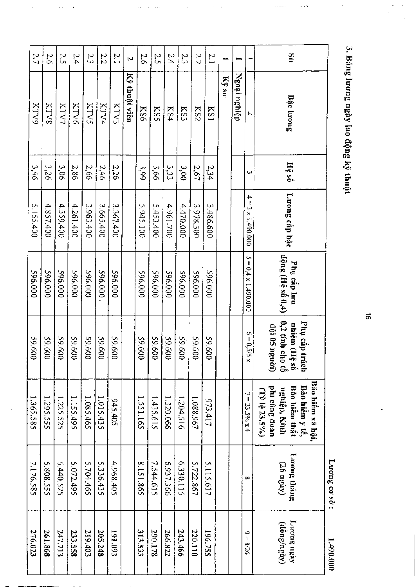|                |                 |       |                          |                                 |                                                                   |                                                                                                       | Luong co $s\ddot{o}$ :             | 1.490.000                 |
|----------------|-----------------|-------|--------------------------|---------------------------------|-------------------------------------------------------------------|-------------------------------------------------------------------------------------------------------|------------------------------------|---------------------------|
| Stt            | Bậc lương       | Hệ số | Luong câp bậc            | động (Hệ số 0,4)<br>Phụ cấp lưu | Phụ cấp trách<br>nhiệm (Hệ số<br>0,2 tính cho tổ<br>dội 05 người) | Bảo hiểm xã hội,<br>phi công đoàn<br>Bảo hiểm y tế,<br>Bảo hiểm thất<br>nghiệp, Kinh<br>(Tỳ lệ 23,5%) | Luong tháng<br>$(26 \text{ ngay})$ | Luong ngày<br>(dông/ngày) |
|                | Z               | ω     | $4 = 3 \times 1,490.000$ | $5 = 0,4 \times 1,490,000$      | $6 = 0,5/5 x$                                                     | $7 = 23,5\%$ x 4                                                                                      | ∞                                  | $9 - 8/26$                |
|                | Ngoại nghiệp    |       |                          |                                 |                                                                   |                                                                                                       |                                    |                           |
| سىم            | Ký su           |       |                          |                                 |                                                                   |                                                                                                       |                                    |                           |
| $\sim$         | KS1             | 2,34  | 3,486.600                | 596.000                         | 009'65                                                            | 973.417                                                                                               | 5.115.617                          | 196.755                   |
| $2.2\,$        | KS <sub>2</sub> | 2,67  | 3.978.300                | 000'965                         | 009'65                                                            | 1.088.967                                                                                             | 5.722.867                          | 220.110                   |
| 2.3            | KS <sub>3</sub> | 3,00  | 4.470.000                | 000'965                         | 59.600                                                            | 1.204.516                                                                                             | 6.330.116                          | 243.466                   |
| 2.4            | KS4             | 3,33  | 4.961.700                | 000'965                         | 59.600                                                            | 1.320.066                                                                                             | 6.937.366                          | 266.822                   |
| 2.5            | KS <sub>5</sub> | 3,66  | 5,453,400                | 000'965                         | 009'65                                                            | 1.435.615                                                                                             | 7.544.615                          | 290.178                   |
| 2.6            | KS6             | 9.99  | 5.945.100                | 000'965                         | 009'65                                                            | 1.551.165                                                                                             | 8.151.865                          | 313.533                   |
| $\overline{a}$ | Kỹ thuật viên   |       |                          |                                 |                                                                   |                                                                                                       |                                    |                           |
| 2.1            | KTV3            | 2,26  | 3.367.400                | 296.000                         | 59.600                                                            | 945,405                                                                                               | 4.968.405                          | 191.093                   |
| 2.2            | KTV4            | 2,46  | 3.665.400                | 000'965                         | 59.600                                                            | 1.015.435                                                                                             | 5.336.435                          | 205.248                   |
| 2.3            | KTV5            | 2,66  | 3.963,400                | <b>596.000</b>                  | 009'65                                                            | 1.085.465                                                                                             | 5.704.465                          | 219.403                   |
| 2.4            | KTV6            | 2,86  | 4.261.400                | 000'965                         | 59.600                                                            | 1.155.495                                                                                             | 6.072.495                          | 233.558                   |
| 2.5            | $\rm KTV7$      | 3.06  | 4.559,400                | 596.000                         | <b>59.600</b>                                                     | 1.225.525                                                                                             | 6.440.525                          | 247.713                   |
| 2.6            | KTV8            | 326   | 4.857.400                | 000'965                         | 59.600                                                            | 1.295.555                                                                                             | 6.808.555                          | 261.868                   |
| 2.7            | <b>KTV9</b>     | 946   | 5.155.400                | <b>596.000</b>                  | 009'65                                                            | 1.365.585                                                                                             | 7.176.585                          | 276.023                   |

 $\frac{1}{2} \frac{1}{2} \left( \frac{1}{2} \right)$  ,  $\frac{1}{2} \frac{1}{2}$ 

 $\frac{1}{2}$ 

 $\sim 10$ 

 $\hat{\alpha}$  ,  $\hat{\beta}$  ,  $\hat{\beta}$ 

 $\hat{\mathcal{L}}$  ,  $\hat{\mathcal{L}}$  ,  $\hat{\mathcal{L}}$ 

 $\mathcal{L}^{\text{max}}_{\text{max}}$ 

 $\ldots$ 

 $\sim$  113

 $\hat{\mathcal{A}}$ 

3. Bảng lương ngày lao động kỹ thuật

 $\mathbb{E}_{\frac{1}{2},\frac{1}{2},\frac{1}{2},\frac{1}{2}}$ 

 $\frac{1}{2} \left( \frac{1}{2} \right)$  .

l,

 $\ddot{\phantom{0}}$ 

 $\vec{5}$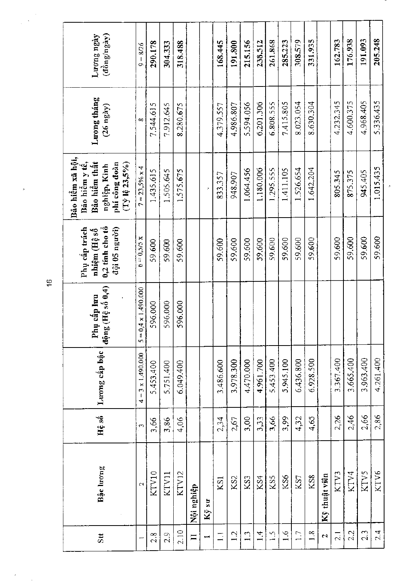| $\overline{\mathbf{S}}$ tt | Bậc lương         | Hệ số          | Lương cấp bậc            | Phụ cấp lưu $\left  \frac{\text{dp} \log{(\text{H}\hat{\mathbf{e}} \text{ s}\delta \, \mathbf{0},4)}}{\text{d}\hat{\phi} \text{ng} \left(\text{H}\hat{\mathbf{e}} \text{ s}\delta \, \mathbf{0},4 \right)} \right $ | $0,2$ tính cho tổ<br>Phụ cấp trách<br>dội 05 nguời)<br>nhiệm (Hệ số | Bảo hiểm xã hội,<br>Bảo hiểm y tế,<br>Bảo hiểm thất<br>phi công đoàn<br>$(Ty)$ lệ 23,5%)<br>nghiệp, Kinh | Luong tháng<br>$(26 \text{ ngay})$ | $(d\delta n g/ng\dot{a}y)$<br>Luong ngày |
|----------------------------|-------------------|----------------|--------------------------|---------------------------------------------------------------------------------------------------------------------------------------------------------------------------------------------------------------------|---------------------------------------------------------------------|----------------------------------------------------------------------------------------------------------|------------------------------------|------------------------------------------|
|                            | 2                 | $\mathfrak{m}$ | $4 = 3 \times 1.490.000$ | $5 = 0,4 \times 1,490.000$                                                                                                                                                                                          | $6 = 0,5/5 x$                                                       | $7 = 23,5%$ x 4                                                                                          | $\infty$                           | $9 = 8/26$                               |
| 2.8                        | KTV10             | 3,56           | 5.453.400                | 596,000                                                                                                                                                                                                             | 59.600                                                              | 1.435.615                                                                                                | 7.544.615                          | 290.178                                  |
| 2.9                        | KTV11             | 3,86           | 5.751.400                | 596.000                                                                                                                                                                                                             | 59.600                                                              | 1.505.645                                                                                                | 7.912.645                          | 304.333                                  |
| 2.10                       | KTV <sub>12</sub> | 4,06           | 6.049.400                | 596.000                                                                                                                                                                                                             | 59.600                                                              | 1.575.675                                                                                                | 8.280.675                          | 318.488                                  |
| $\Xi$                      | Nội nghiệp        |                |                          |                                                                                                                                                                                                                     |                                                                     |                                                                                                          |                                    |                                          |
|                            | Kỹ sư             |                |                          |                                                                                                                                                                                                                     |                                                                     |                                                                                                          |                                    |                                          |
| Ξ                          | KS1               | 2,34           | 3.486.600                |                                                                                                                                                                                                                     | 59.600                                                              | 833.357                                                                                                  | 4.379.557                          | 168.445                                  |
| 1.2                        | KS <sub>2</sub>   | 2,67           | 3.978.300                |                                                                                                                                                                                                                     | 59.600                                                              | 948.907                                                                                                  | 4.986.807                          | 191,800                                  |
| $\frac{1}{2}$              | K <sub>S</sub> 3  | 3,00           | 4.470.000                |                                                                                                                                                                                                                     | 59.600                                                              | 1.064.456                                                                                                | 5.594.056                          | 215.156                                  |
| $\ddot{4}$                 | KS4               | 3,33           | 4.961.700                |                                                                                                                                                                                                                     | 59.600                                                              | 1,180,006                                                                                                | 6.201.306                          | 238.512                                  |
| $\sum$                     | KS5               | 3,66           | 5.453.400                |                                                                                                                                                                                                                     | 59.600                                                              | 1.295.555                                                                                                | 6.808.555                          | 261.868                                  |
| $\frac{6}{11}$             | KS6               | 3,99           | 5.945.100                |                                                                                                                                                                                                                     | 59,600                                                              | 1.411.105                                                                                                | 7.415.805                          | 285,223                                  |
| $\Box$                     | KS7               | 4,32           | 6.436.800                |                                                                                                                                                                                                                     | 59.600                                                              | 1.526.654                                                                                                | 8.023.054                          | 308.579                                  |
| $\frac{8}{1}$              | <b>KS8</b>        | 4,65           | 6.928.500                |                                                                                                                                                                                                                     | 59,600                                                              | 1.642.204                                                                                                | 8.630.304                          | 331.935                                  |
| $\overline{2}$             | Kỹ thuật viên     |                |                          |                                                                                                                                                                                                                     |                                                                     |                                                                                                          |                                    |                                          |
| $\overline{2.1}$           | KTV3              | 2,26           | 3.367.400                |                                                                                                                                                                                                                     | 59.600                                                              | 805.345                                                                                                  | 4.232.345                          | 162.783                                  |
| 2.2                        | KTV4              | 2,46           | 3.665.400                |                                                                                                                                                                                                                     | 59.600                                                              | 875.375                                                                                                  | 4.600.375                          | 176.938                                  |
| 23                         | KTV5              | 2,66           | 3,963,400                |                                                                                                                                                                                                                     | 59.600                                                              | 945.405                                                                                                  | 4.968.405                          | 191.093                                  |
| 2.4                        | KTV6              | 2,86           | 4.261.400                |                                                                                                                                                                                                                     | 59.600                                                              | 1.015.435                                                                                                | 5.336.435                          | 205.248                                  |

 $\frac{\omega}{\tau}$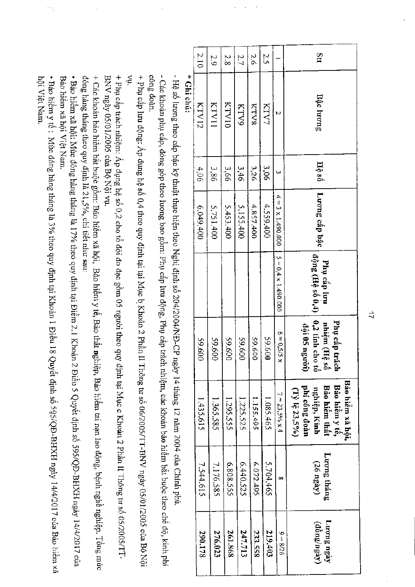| Stt                                                                                                   |                                      | 2.5       | ς.        | 2.7       | 2.8       | 2.9       | 2.10      |                                                                                                                                                                                                                                            |                                                                                                                                                                                                                                                                                                      |                                   |                                                                                                                                                                                                        |                                                                                                                                      |
|-------------------------------------------------------------------------------------------------------|--------------------------------------|-----------|-----------|-----------|-----------|-----------|-----------|--------------------------------------------------------------------------------------------------------------------------------------------------------------------------------------------------------------------------------------------|------------------------------------------------------------------------------------------------------------------------------------------------------------------------------------------------------------------------------------------------------------------------------------------------------|-----------------------------------|--------------------------------------------------------------------------------------------------------------------------------------------------------------------------------------------------------|--------------------------------------------------------------------------------------------------------------------------------------|
| Bậc lương                                                                                             | N                                    | KTV7      | KTV8      | KTV9      | KTV10     | KTV11     | KTV12     | - Hệ số lương theo cấp bậc kỹ thuật thực hiện theo Nghị định số 204/2004/NĐ-CP<br>- Các khoản phụ cấp, đóng góp theo lương bao gồm: Phụ cấp lưu động, Phụ cấp trách nhiệm, các khoản bảo hiểm bắt buộc theo chế độ, kinh phí<br>* Ghi chú: | ś<br>+ Phụ cấp lưu động: Áp dụng hệ số 0,4 theo quy định tại tại Mục b Khoản 2 Phần II Thông tư số 06/2005/TT-BNV ngày 05/01/2005 của Bộ Nội<br>công đoàn<br>+ Phụ cáp trách nhiệm: Áp dụng hệ số 0,2 cho tổ đội đo đạc gồm 05 người theo quy định tại Mục c Khoản 2 Phần II Thông tư số 05/2005/TT- | BNV ngày 05/01/2005 của Bộ Nội vụ | đóng hàng tháng theo quy định là 21,5%, chi tiết như sau:<br>+ Các khoản bảo hiểm bắt buộc gồm: Bảo hiểm xã hội, Bảo hiểm y tế, Bảo thất nghiệp, Bảo hiểm tai nạn lao động, bệnh nghề nghiệp. Tông mức | Bảo hiểm xã hội Việt Nam.                                                                                                            |
| Hê số                                                                                                 | دی                                   | 3.06      | 3,26      | 3,46      | 3,66      | 3.86      | 4,06      |                                                                                                                                                                                                                                            |                                                                                                                                                                                                                                                                                                      |                                   |                                                                                                                                                                                                        |                                                                                                                                      |
| Luong cấp bậc                                                                                         | ₳<br>$= 3 \times 1.490.000$          | 4.559.400 | 4.857.400 | 5.155.400 | 5.453.400 | 5.751.400 | 6.049.400 |                                                                                                                                                                                                                                            |                                                                                                                                                                                                                                                                                                      |                                   |                                                                                                                                                                                                        |                                                                                                                                      |
| động (Hệ số 0,4)<br>Phụ cấp lưu                                                                       | Ü,<br>$= 0.4 \times 1.490.000$       |           |           |           |           |           |           |                                                                                                                                                                                                                                            |                                                                                                                                                                                                                                                                                                      |                                   |                                                                                                                                                                                                        |                                                                                                                                      |
| $0,2$ tính cho tổ<br>Phụ cấp trách<br>nhiệm (Hệ số<br>đội 05 ng<br>ဒ္မ်                               | $6 = 0,5/5$<br>$\boldsymbol{\times}$ | \$9.600   | 109.65    | 59.600    | 29,600    | 29.600    | 009'65    |                                                                                                                                                                                                                                            |                                                                                                                                                                                                                                                                                                      |                                   |                                                                                                                                                                                                        |                                                                                                                                      |
| Bảo hiễm xã hội,<br>phí công đoàn<br>Bảo hiểm thất<br>Bảo hiểm y tế,<br>nghiệp, Kinh<br>(Tỷ lệ 23,5%) | $7 = 23,596 \times 4$                | 1.085.465 | 1.155.495 | 1.225.525 | 1.295.555 | 1.365.585 | 1.435.615 | ngày 14 tháng 12 năm 2004 của Chính phủ                                                                                                                                                                                                    |                                                                                                                                                                                                                                                                                                      |                                   |                                                                                                                                                                                                        | • Bảo hiểm xã hội: Mức đóng hàng tháng là 17% theo quy định tại Điểm 2.1 Khoản 2 Điều 5 Quyết định số 595/QĐ-BHXH ngày 14/4/2017 của |
| Luong tháng<br>$(26 \text{ ngy})$                                                                     | ∞                                    | 5,704.465 | 6.072.495 | 6.440.525 | 6.808.555 | 7.176.585 | 7.544.615 |                                                                                                                                                                                                                                            |                                                                                                                                                                                                                                                                                                      |                                   |                                                                                                                                                                                                        |                                                                                                                                      |
| Luong ngày<br>(Agalgugay)                                                                             | $9 - 8/26$                           | 219.403   | 233.558   | 247.713   | 261.868   | 276.023   | 290.178   |                                                                                                                                                                                                                                            |                                                                                                                                                                                                                                                                                                      |                                   |                                                                                                                                                                                                        |                                                                                                                                      |

 $\omega_{\rm{eff}}$ 

 $\overline{1}$ 

• Bào hiểm y tế : Mức đóng hàng tháng là 3% theo quy định tại Khoản I Điều 18 Quyết định số 595/QĐ-BHXH ngày 14/4/2017 của Báo hiểm xa<br>hội Việt Nam.

 $\sim$  :

ł,

 $\ddot{\phantom{0}}$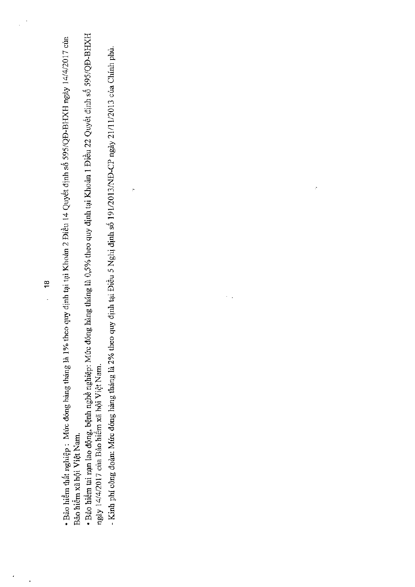| · Bảo hiềm tai nạn lao động, bệnh nghề nghiệp: Mức đóng hàng tháng là 0,5% theo quy định tại Khoản 1 Điều 22 Quyết định số 595/QĐ-BHXH<br>· Bảo hiềm thất nghiệp : Mức đóng hàng tháng là 1% theo quy định tại tại Khoản 2 Điều 14 Quyết định số 595/QĐ-BHXH ngày 14/4/2017 của<br>Bảo hiệm xã hội Việt Nam. | - Kinh phí công đoàn: Mức đóng hàng tháng là 2% theo quy định tại Điều 5 Nghị định số 191/2013/NĐ-CP ngày 21/11/2013 của Chính phủ.<br>ngày 14/4/2017 của Bảo hiểm xã hội Việt Nam. |  |  |  |  |  |  |
|--------------------------------------------------------------------------------------------------------------------------------------------------------------------------------------------------------------------------------------------------------------------------------------------------------------|-------------------------------------------------------------------------------------------------------------------------------------------------------------------------------------|--|--|--|--|--|--|
|--------------------------------------------------------------------------------------------------------------------------------------------------------------------------------------------------------------------------------------------------------------------------------------------------------------|-------------------------------------------------------------------------------------------------------------------------------------------------------------------------------------|--|--|--|--|--|--|

 $\frac{\infty}{2}$  $\overline{\phantom{a}}$ 

 $\cdot$ 

 $\ddot{\phantom{0}}$ 

 $\frac{1}{2}$  ,  $\frac{1}{2}$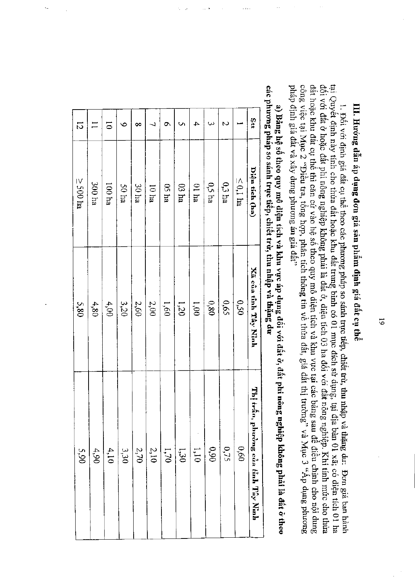## III. Hướng dẫn áp dụng đơn giá sản phẩm dịnh giá đất cụ thể

1. Đối với định giá đất cụ thể theo các phương pháp so sánh trực tiếp, chiết trừ, thu nhập và thặng dư: Đơn giá ban hành<br>tại Quyết định này tính cho thừa đất hoặc khu đất trung bình có 01 mục đích sử dụng, tại địa bàn 01 x công việc tại Mục 2 "Điều tra, tổng hợp, phân tích thông tin về thừa đất, giá đất thị trường" và Mục 3 "Áp dụng phương đất hoặc khu đất cụ thể thì căn cự vào hệ số theo quy mô diện tích và khu vực tại các bảng sau đề điều chính cho nội dung pháp định giá đất và xây dựng phương án giá đất"

 $\frac{8}{4}$  $\tilde{\mathbf{c}}$  $\overline{a}$  $\overline{\phantom{0}}$  $\overline{0}$ Ó  $\infty$  $\sigma$ **Un**  $\overline{\mathbf{4}}$  $\overline{ }$ Diện tích (ha)  $≤ 0,1$  ha 0,5 ha  $0,3$  ha  $100 \,\mathrm{ha}$ 50 ha 30 ha 10 ha 05 ha 03 ha 01 ha Xă của tỉnh Tây Ninh  $0.80$  $0.50$  $655$  $3,20$ 2,60  $2,00$  $4,00$  $1,000$  $1,60$  $1,20$ Thi trân, phuòng của tỉnh Tây Ninh  $060$ 525 09'0 2,70  $1,10$  $4,10$  $3,30$  $2,10$  $1,70$  $1,30$ 

 $\equiv$ 

300 ha

 $\overline{5}$ 

 $\geq$  500 ha

 $5,80$ 

 $5,90$ 

 $4,90$ 

 $4,80$ 

các phương pháp so sánh trực tiếp, chiết trừ, thu nhập và thặng dư a) Bảng hệ số theo quy mô diện tích và khu vực áp dụng đối với đất ở, đất phi nông nghiệp không phải là đất ở theo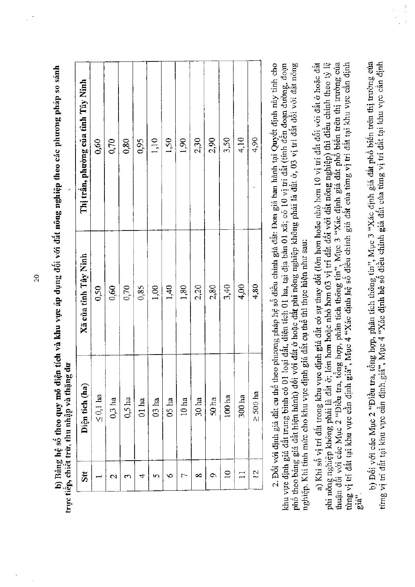| onap so "<br>4<br>heo các phương p'<br>.<br>4<br>Ì<br>če ter<br>i dât n<br>vục áp dụng đôi với |                                              |
|------------------------------------------------------------------------------------------------|----------------------------------------------|
|                                                                                                |                                              |
|                                                                                                |                                              |
| t<br>ên tic<br>b) Bảng hệ số theo quy mô diệ                                                   | D<br>trực tiếp, chiết trừ, thu nhập và thăng |

| Thị trấn, phường của tỉnh Tây Ninh | 0,60           | 0,70              | 0,80     | 0,95    | 1,10    | 1,50    | 1,90              | 2,30    | 2,90      | 3,50              | 4,10   | 4,90            |
|------------------------------------|----------------|-------------------|----------|---------|---------|---------|-------------------|---------|-----------|-------------------|--------|-----------------|
| Xã của tỉnh Tây Ninh               | 0,50           | 0,60              | 0,70     | 0,85    | 1,00    | 1,40    | 1,80              | 2,20    | 2,80      | 3,40              | 4,00   | 4,80            |
| Diện tích (ha)                     | $\leq 0,$ l ha | $0,3$ ha          | $0,5$ ha | $01$ ha | $03$ ha | $05$ ha | $10\,\mathrm{ha}$ | $30$ ha | $50$ ha   | 100 <sub>ha</sub> | 300 ha | $\geq$ 500 ha   |
| Stt                                |                | $\mathbf{\Omega}$ |          | 4       | m       | ◇       | ŗ                 | ∞       | $\bullet$ | $\Xi$             | $\Box$ | $\overline{12}$ |

2. Đối với định giá đất cụ thể theo phượng pháp hệ số điều chỉnh giá dất: Đơn giá ban hành tại Quyết định này tính cho khu vực định giá đất trung bình có 01 loại đất, diện tích 01 ha, tại địa bàn 01 xã; có 10 vị trí đất (tính đến đoạn đường, đoạn phổ theo bảng giá đất hiện hành) đổi với đất ở hoặc đất phi nông nghiệp không phải là đất ở, 03 vị trí đất đối với đất nông<br>nghiệp. Khi tính mức cho khu vực định giá đất cụ thể thì thực hiện như sau:

phi nông nghiệp không phải là đất ở; lớn hơn hoặc nhỏ hơn 03 vị trí đất đối với đất nông nghiệp) thì điều chỉnh theo tỷ lệ<br>thuận đối với các Mục 2 "Điều tra, tổng hợp, phân tích thông tịn", Mục 3 "Xác định giá đất phổ biển a) Khi số vị trí đất trong khu vực định giá đất có sự thay đổi (lớn hơn hoặc nhỏ hơn 10 vị trí đất đối với đất ở hoặc đất từng vị trí đất tại khu vực cần định giá", Mục 4 "Xác định hệ số điều chinh giá đất của từng vị trí đất tại khu vực cần định ្នំ<br>ខ្នាំង

b) Đối yới các Mục 2 "Điều tra, tổng hợp, phân tích thông tin", Mục 3 "Xác định giá đất phổ biến trên thị trường của từng vị trí đất tại khu vực cần định giá", Mục 4 "Xác định hệ số điều chỉnh giá đất của từng vị trí đất tại khu vực cần định 医子宫的